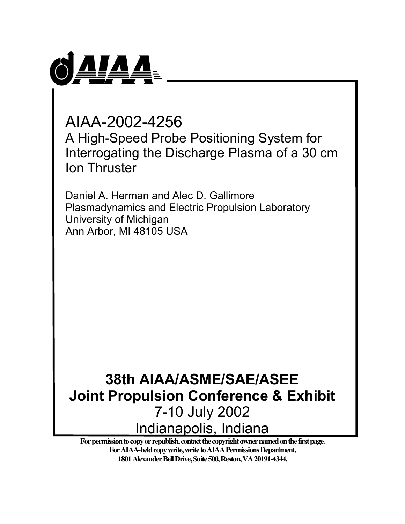

AIAA-2002-4256 A High-Speed Probe Positioning System for Interrogating the Discharge Plasma of a 30 cm Ion Thruster

Daniel A. Herman and Alec D. Gallimore Plasmadynamics and Electric Propulsion Laboratory University of Michigan Ann Arbor, MI 48105 USA

# **38th AIAA/ASME/SAE/ASEE Joint Propulsion Conference & Exhibit**  7-10 July 2002 Indianapolis, Indiana

**For permission to copy or republish, contact the copyright owner named on the first page. For AIAA-held copy write, write to AIAA Permissions Department, 1801 Alexander Bell Drive, Suite 500, Reston, VA 20191-4344.**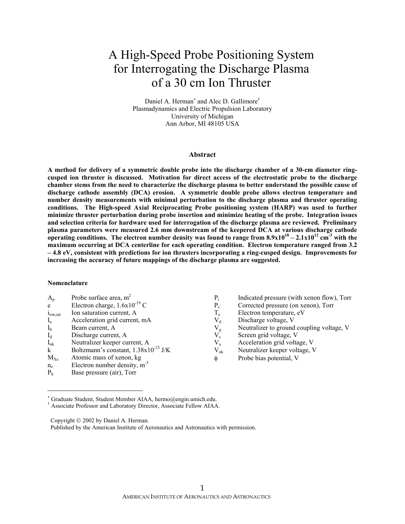## A High-Speed Probe Positioning System for Interrogating the Discharge Plasma of a 30 cm Ion Thruster

Daniel A. Herman<sup>\*</sup> and Alec D. Gallimore<sup>†</sup> Plasmadynamics and Electric Propulsion Laboratory University of Michigan Ann Arbor, MI 48105 USA

#### **Abstract**

**A method for delivery of a symmetric double probe into the discharge chamber of a 30-cm diameter ringcusped ion thruster is discussed. Motivation for direct access of the electrostatic probe to the discharge chamber stems from the need to characterize the discharge plasma to better understand the possible cause of discharge cathode assembly (DCA) erosion. A symmetric double probe allows electron temperature and number density measurements with minimal perturbation to the discharge plasma and thruster operating conditions. The High-speed Axial Reciprocating Probe positioning system (HARP) was used to further minimize thruster perturbation during probe insertion and minimize heating of the probe. Integration issues and selection criteria for hardware used for interrogation of the discharge plasma are reviewed. Preliminary plasma parameters were measured 2.6 mm downstream of the keepered DCA at various discharge cathode operating conditions.** The electron number density was found to range from  $8.9x10^{10} - 2.1x10^{12}$  cm<sup>-3</sup> with the **maximum occurring at DCA centerline for each operating condition. Electron temperature ranged from 3.2 – 4.8 eV, consistent with predictions for ion thrusters incorporating a ring-cusped design. Improvements for increasing the accuracy of future mappings of the discharge plasma are suggested.** 

xenon flow), Torr

#### **Nomenclature**

| $A_{p}$        | Probe surface area, $m2$                         | $P_i$        | Indicated pressure (with xenon flow), Tor |
|----------------|--------------------------------------------------|--------------|-------------------------------------------|
| e              | Electron charge, $1.6x10^{-19}$ C                | $P_c$        | Corrected pressure (on xenon), Torr       |
| $1_{ion, sat}$ | Ion saturation current, A                        | $T_{\rm e}$  | Electron temperature, eV                  |
| $I_{a}$        | Acceleration grid current, mA                    | $\rm V_d$    | Discharge voltage, V                      |
| $I_{b}$        | Beam current, A                                  | $V_{\rm g}$  | Neutralizer to ground coupling voltage, V |
| $I_d$          | Discharge current, A                             | $V_{\rm s}$  | Screen grid voltage, V                    |
| $I_{nk}$       | Neutralizer keeper current, A                    | $V_a$        | Acceleration grid voltage, V              |
| k              | Boltzmann's constant, $1.38 \times 10^{-23}$ J/K | $\rm V_{nk}$ | Neutralizer keeper voltage, V             |
| $M_{Xe}$       | Atomic mass of xenon, kg                         | Φ            | Probe bias potential, V                   |
| $n_e$          | Electron number density, $m^{-3}$                |              |                                           |
| P <sub>b</sub> | Base pressure (air), Torr                        |              |                                           |

 $\overline{a}$ 

Copyright  $\odot$  2002 by Daniel A. Herman.

<sup>∗</sup> Graduate Student, Student Member AIAA, hermo@engin.umich.edu.

<sup>†</sup> Associate Professor and Laboratory Director, Associate Fellow AIAA.

Published by the American Institute of Aeronautics and Astronautics with permission.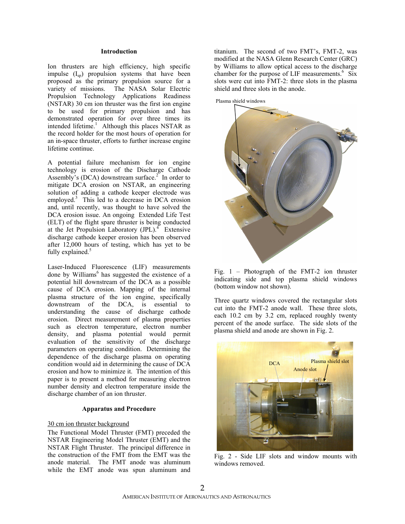#### **Introduction**

Ion thrusters are high efficiency, high specific impulse  $(I_{\rm SD})$  propulsion systems that have been proposed as the primary propulsion source for a variety of missions. The NASA Solar Electric Propulsion Technology Applications Readiness (NSTAR) 30 cm ion thruster was the first ion engine to be used for primary propulsion and has demonstrated operation for over three times its intended lifetime.<sup>1</sup> Although this places NSTAR as the record holder for the most hours of operation for an in-space thruster, efforts to further increase engine lifetime continue.

A potential failure mechanism for ion engine technology is erosion of the Discharge Cathode Assembly's (DCA) downstream surface.<sup>2</sup> In order to mitigate DCA erosion on NSTAR, an engineering solution of adding a cathode keeper electrode was employed.<sup>3</sup> This led to a decrease in DCA erosion and, until recently, was thought to have solved the DCA erosion issue. An ongoing Extended Life Test (ELT) of the flight spare thruster is being conducted at the Jet Propulsion Laboratory  $(IPL)^4$ . Extensive discharge cathode keeper erosion has been observed after 12,000 hours of testing, which has yet to be fully explained.<sup>5</sup>

Laser-Induced Fluorescence (LIF) measurements done by Williams<sup>6</sup> has suggested the existence of a potential hill downstream of the DCA as a possible cause of DCA erosion. Mapping of the internal plasma structure of the ion engine, specifically downstream of the DCA, is essential to understanding the cause of discharge cathode erosion. Direct measurement of plasma properties such as electron temperature, electron number density, and plasma potential would permit evaluation of the sensitivity of the discharge parameters on operating condition. Determining the dependence of the discharge plasma on operating condition would aid in determining the cause of DCA erosion and how to minimize it. The intention of this paper is to present a method for measuring electron number density and electron temperature inside the discharge chamber of an ion thruster.

#### **Apparatus and Procedure**

#### 30 cm ion thruster background

The Functional Model Thruster (FMT) preceded the NSTAR Engineering Model Thruster (EMT) and the NSTAR Flight Thruster. The principal difference in the construction of the FMT from the EMT was the anode material. The FMT anode was aluminum while the EMT anode was spun aluminum and

titanium. The second of two FMT's, FMT-2, was modified at the NASA Glenn Research Center (GRC) by Williams to allow optical access to the discharge chamber for the purpose of LIF measurements.<sup>6</sup> Six slots were cut into FMT-2: three slots in the plasma shield and three slots in the anode.

Plasma shield windows



Fig. 1 – Photograph of the FMT-2 ion thruster indicating side and top plasma shield windows (bottom window not shown).

Three quartz windows covered the rectangular slots cut into the FMT-2 anode wall. These three slots, each 10.2 cm by 3.2 cm, replaced roughly twenty percent of the anode surface. The side slots of the plasma shield and anode are shown in Fig. 2.



Fig. 2 - Side LIF slots and window mounts with windows removed.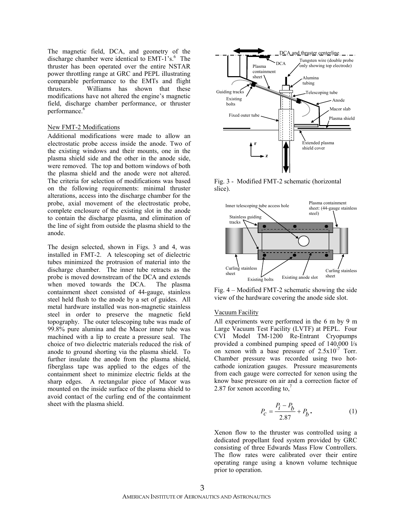The magnetic field, DCA, and geometry of the discharge chamber were identical to EMT-1's.<sup>6</sup> The thruster has been operated over the entire NSTAR power throttling range at GRC and PEPL illustrating comparable performance to the EMTs and flight thrusters. Williams has shown that these modifications have not altered the engine's magnetic field, discharge chamber performance, or thruster performance.<sup>6</sup>

#### New FMT-2 Modifications

Additional modifications were made to allow an electrostatic probe access inside the anode. Two of the existing windows and their mounts, one in the plasma shield side and the other in the anode side, were removed. The top and bottom windows of both the plasma shield and the anode were not altered. The criteria for selection of modifications was based on the following requirements: minimal thruster alterations, access into the discharge chamber for the probe, axial movement of the electrostatic probe, complete enclosure of the existing slot in the anode to contain the discharge plasma, and elimination of the line of sight from outside the plasma shield to the anode.

The design selected, shown in Figs. 3 and 4, was installed in FMT-2. A telescoping set of dielectric tubes minimized the protrusion of material into the discharge chamber. The inner tube retracts as the probe is moved downstream of the DCA and extends when moved towards the DCA. The plasma containment sheet consisted of 44-gauge, stainless steel held flush to the anode by a set of guides. All metal hardware installed was non-magnetic stainless steel in order to preserve the magnetic field topography. The outer telescoping tube was made of 99.8% pure alumina and the Macor inner tube was machined with a lip to create a pressure seal. The choice of two dielectric materials reduced the risk of anode to ground shorting via the plasma shield. To further insulate the anode from the plasma shield, fiberglass tape was applied to the edges of the containment sheet to minimize electric fields at the sharp edges. A rectangular piece of Macor was mounted on the inside surface of the plasma shield to avoid contact of the curling end of the containment sheet with the plasma shield.



Fig. 3 - Modified FMT-2 schematic (horizontal slice).



Fig. 4 – Modified FMT-2 schematic showing the side view of the hardware covering the anode side slot.

#### Vacuum Facility

All experiments were performed in the 6 m by 9 m Large Vacuum Test Facility (LVTF) at PEPL. Four CVI Model TM-1200 Re-Entrant Cryopumps provided a combined pumping speed of 140,000 l/s on xenon with a base pressure of  $2.5x10^{-7}$  Torr. Chamber pressure was recorded using two hotcathode ionization gauges. Pressure measurements from each gauge were corrected for xenon using the know base pressure on air and a correction factor of 2.87 for xenon according to, $<sup>7</sup>$ </sup>

$$
P_c = \frac{P_i - P_b}{2.87} + P_b.
$$
 (1)

Xenon flow to the thruster was controlled using a dedicated propellant feed system provided by GRC consisting of three Edwards Mass Flow Controllers. The flow rates were calibrated over their entire operating range using a known volume technique prior to operation.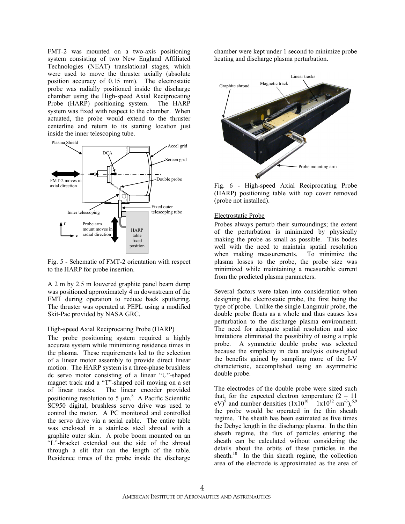FMT-2 was mounted on a two-axis positioning system consisting of two New England Affiliated Technologies (NEAT) translational stages, which were used to move the thruster axially (absolute position accuracy of 0.15 mm). The electrostatic probe was radially positioned inside the discharge chamber using the High-speed Axial Reciprocating Probe (HARP) positioning system. The HARP system was fixed with respect to the chamber. When actuated, the probe would extend to the thruster centerline and return to its starting location just inside the inner telescoping tube.



Fig. 5 - Schematic of FMT-2 orientation with respect to the HARP for probe insertion.

A 2 m by 2.5 m louvered graphite panel beam dump was positioned approximately 4 m downstream of the FMT during operation to reduce back sputtering. The thruster was operated at PEPL using a modified Skit-Pac provided by NASA GRC.

#### High-speed Axial Reciprocating Probe (HARP)

The probe positioning system required a highly accurate system while minimizing residence times in the plasma. These requirements led to the selection of a linear motor assembly to provide direct linear motion. The HARP system is a three-phase brushless dc servo motor consisting of a linear "U"-shaped magnet track and a "T"-shaped coil moving on a set of linear tracks. The linear encoder provided positioning resolution to 5  $\mu$ m.<sup>8</sup> A Pacific Scientific SC950 digital, brushless servo drive was used to control the motor. A PC monitored and controlled the servo drive via a serial cable. The entire table was enclosed in a stainless steel shroud with a graphite outer skin. A probe boom mounted on an "L"-bracket extended out the side of the shroud through a slit that ran the length of the table. Residence times of the probe inside the discharge

chamber were kept under 1 second to minimize probe heating and discharge plasma perturbation.



Fig. 6 - High-speed Axial Reciprocating Probe (HARP) positioning table with top cover removed (probe not installed).

#### Electrostatic Probe

Probes always perturb their surroundings; the extent of the perturbation is minimized by physically making the probe as small as possible. This bodes well with the need to maintain spatial resolution when making measurements. To minimize the plasma losses to the probe, the probe size was minimized while maintaining a measurable current from the predicted plasma parameters.

Several factors were taken into consideration when designing the electrostatic probe, the first being the type of probe. Unlike the single Langmuir probe, the double probe floats as a whole and thus causes less perturbation to the discharge plasma environment. The need for adequate spatial resolution and size limitations eliminated the possibility of using a triple probe. A symmetric double probe was selected because the simplicity in data analysis outweighed the benefits gained by sampling more of the I-V characteristic, accomplished using an asymmetric double probe.

The electrodes of the double probe were sized such that, for the expected electron temperature  $(2 - 11)$ eV)<sup>9</sup> and number densities  $(1x10^{10} - 1x10^{12}$  cm<sup>-3</sup>),<sup>6,9</sup> the probe would be operated in the thin sheath regime. The sheath has been estimated as five times the Debye length in the discharge plasma. In the thin sheath regime, the flux of particles entering the sheath can be calculated without considering the details about the orbits of these particles in the sheath.<sup>10</sup> In the thin sheath regime, the collection area of the electrode is approximated as the area of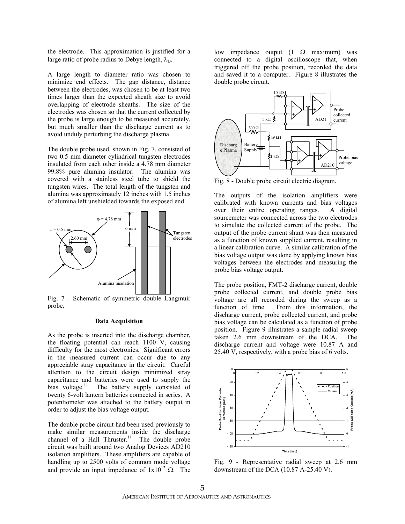the electrode. This approximation is justified for a large ratio of probe radius to Debye length,  $\lambda_{\text{D}}$ .

A large length to diameter ratio was chosen to minimize end effects. The gap distance, distance between the electrodes, was chosen to be at least two times larger than the expected sheath size to avoid overlapping of electrode sheaths. The size of the electrodes was chosen so that the current collected by the probe is large enough to be measured accurately, but much smaller than the discharge current as to avoid unduly perturbing the discharge plasma.

The double probe used, shown in Fig. 7, consisted of two 0.5 mm diameter cylindrical tungsten electrodes insulated from each other inside a 4.78 mm diameter 99.8% pure alumina insulator. The alumina was covered with a stainless steel tube to shield the tungsten wires. The total length of the tungsten and alumina was approximately 12 inches with 1.5 inches of alumina left unshielded towards the exposed end.



Fig. 7 - Schematic of symmetric double Langmuir probe.

#### **Data Acquisition**

As the probe is inserted into the discharge chamber, the floating potential can reach 1100 V, causing difficulty for the most electronics. Significant errors in the measured current can occur due to any appreciable stray capacitance in the circuit. Careful attention to the circuit design minimized stray capacitance and batteries were used to supply the bias voltage.<sup>11</sup> The battery supply consisted of twenty 6-volt lantern batteries connected in series. A potentiometer was attached to the battery output in order to adjust the bias voltage output.

The double probe circuit had been used previously to make similar measurements inside the discharge channel of a Hall Thruster.<sup>11</sup> The double probe circuit was built around two Analog Devices AD210 isolation amplifiers. These amplifiers are capable of handling up to 2500 volts of common mode voltage and provide an input impedance of  $1x10^{12}$  Ω. The low impedance output (1 Ω maximum) was connected to a digital oscilloscope that, when triggered off the probe position, recorded the data and saved it to a computer. Figure 8 illustrates the double probe circuit.



Fig. 8 - Double probe circuit electric diagram.

The outputs of the isolation amplifiers were calibrated with known currents and bias voltages over their entire operating ranges. A digital sourcemeter was connected across the two electrodes to simulate the collected current of the probe. The output of the probe current shunt was then measured as a function of known supplied current, resulting in a linear calibration curve. A similar calibration of the bias voltage output was done by applying known bias voltages between the electrodes and measuring the probe bias voltage output.

The probe position, FMT-2 discharge current, double probe collected current, and double probe bias voltage are all recorded during the sweep as a function of time. From this information, the discharge current, probe collected current, and probe bias voltage can be calculated as a function of probe position. Figure 9 illustrates a sample radial sweep taken 2.6 mm downstream of the DCA. The discharge current and voltage were 10.87 A and 25.40 V, respectively, with a probe bias of 6 volts.



Fig. 9 - Representative radial sweep at 2.6 mm downstream of the DCA (10.87 A-25.40 V).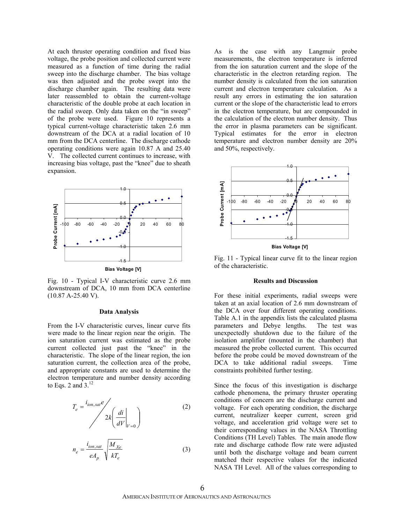At each thruster operating condition and fixed bias voltage, the probe position and collected current were measured as a function of time during the radial sweep into the discharge chamber. The bias voltage was then adjusted and the probe swept into the discharge chamber again. The resulting data were later reassembled to obtain the current-voltage characteristic of the double probe at each location in the radial sweep. Only data taken on the "in sweep" of the probe were used. Figure 10 represents a typical current-voltage characteristic taken 2.6 mm downstream of the DCA at a radial location of 10 mm from the DCA centerline. The discharge cathode operating conditions were again 10.87 A and 25.40 V. The collected current continues to increase, with increasing bias voltage, past the "knee" due to sheath expansion.



Fig. 10 - Typical I-V characteristic curve 2.6 mm downstream of DCA, 10 mm from DCA centerline (10.87 A-25.40 V).

#### **Data Analysis**

From the I-V characteristic curves, linear curve fits were made to the linear region near the origin. The ion saturation current was estimated as the probe current collected just past the "knee" in the characteristic. The slope of the linear region, the ion saturation current, the collection area of the probe, and appropriate constants are used to determine the electron temperature and number density according to Eqs. 2 and  $3<sup>12</sup>$ 

$$
T_e = \frac{i_{ion,sat}e}{2k \left(\frac{di}{dV}\bigg|_{V=0}\right)}
$$
 (2)

$$
n_e = \frac{i_{ion,sat}}{eA_p} \sqrt{\frac{M_{Xe}}{kT_e}}
$$
 (3)

As is the case with any Langmuir probe measurements, the electron temperature is inferred from the ion saturation current and the slope of the characteristic in the electron retarding region. The number density is calculated from the ion saturation current and electron temperature calculation. As a result any errors in estimating the ion saturation current or the slope of the characteristic lead to errors in the electron temperature, but are compounded in the calculation of the electron number density. Thus the error in plasma parameters can be significant. Typical estimates for the error in electron temperature and electron number density are 20% and 50%, respectively.



Fig. 11 - Typical linear curve fit to the linear region of the characteristic.

#### **Results and Discussion**

For these initial experiments, radial sweeps were taken at an axial location of 2.6 mm downstream of the DCA over four different operating conditions. Table A.1 in the appendix lists the calculated plasma parameters and Debve lengths. The test was parameters and Debye lengths. unexpectedly shutdown due to the failure of the isolation amplifier (mounted in the chamber) that measured the probe collected current. This occurred before the probe could be moved downstream of the DCA to take additional radial sweeps. Time constraints prohibited further testing.

Since the focus of this investigation is discharge cathode phenomena, the primary thruster operating conditions of concern are the discharge current and voltage. For each operating condition, the discharge current, neutralizer keeper current, screen grid voltage, and acceleration grid voltage were set to their corresponding values in the NASA Throttling Conditions (TH Level) Tables. The main anode flow rate and discharge cathode flow rate were adjusted until both the discharge voltage and beam current matched their respective values for the indicated NASA TH Level. All of the values corresponding to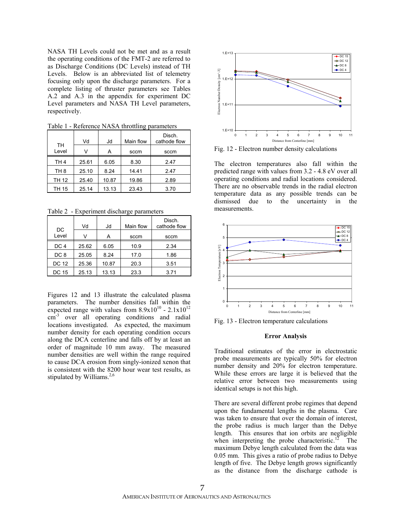NASA TH Levels could not be met and as a result the operating conditions of the FMT-2 are referred to as Discharge Conditions (DC Levels) instead of TH Levels. Below is an abbreviated list of telemetry focusing only upon the discharge parameters. For a complete listing of thruster parameters see Tables A.2 and A.3 in the appendix for experiment DC Level parameters and NASA TH Level parameters, respectively.

| ruviv i<br>Reference TV YOT throughing parameters |       |       |           |                        |  |  |  |  |  |
|---------------------------------------------------|-------|-------|-----------|------------------------|--|--|--|--|--|
|                                                   | Vd    | Jd    | Main flow | Disch.<br>cathode flow |  |  |  |  |  |
| TH<br>Level                                       | V     | А     | sccm      | sccm                   |  |  |  |  |  |
| TH <sub>4</sub>                                   | 25.61 | 6.05  | 8.30      | 2.47                   |  |  |  |  |  |
| TH <sub>8</sub>                                   | 25.10 | 8.24  | 14.41     | 2.47                   |  |  |  |  |  |
| <b>TH 12</b>                                      | 25.40 | 10.87 | 19.86     | 2.89                   |  |  |  |  |  |
| <b>TH 15</b>                                      | 25.14 | 13.13 | 23.43     | 3.70                   |  |  |  |  |  |

Table 1 - Reference NASA throttling parameters

Table 2 - Experiment discharge parameters

| DC              | Vd    | Jd    | Main flow | Disch.<br>cathode flow |
|-----------------|-------|-------|-----------|------------------------|
| Level           |       | A     | sccm      | sccm                   |
| DC <sub>4</sub> | 25.62 | 6.05  | 10.9      | 2.34                   |
| DC <sub>8</sub> | 25.05 | 8.24  | 17.0      | 1.86                   |
| <b>DC 12</b>    | 25.36 | 10.87 | 20.3      | 3.51                   |
| DC 15           | 25.13 | 13.13 | 23.3      | 3.71                   |

Figures 12 and 13 illustrate the calculated plasma parameters. The number densities fall within the expected range with values from  $8.9x10^{10}$  -  $2.1x10^{12}$ cm<sup>-3</sup> over all operating conditions and radial locations investigated. As expected, the maximum number density for each operating condition occurs along the DCA centerline and falls off by at least an order of magnitude 10 mm away. The measured number densities are well within the range required to cause DCA erosion from singly-ionized xenon that is consistent with the 8200 hour wear test results, as stipulated by Williams.<sup>2,6</sup>



Fig. 12 - Electron number density calculations

The electron temperatures also fall within the predicted range with values from 3.2 - 4.8 eV over all operating conditions and radial locations considered. There are no observable trends in the radial electron temperature data as any possible trends can be dismissed due to the uncertainty in the measurements.



Fig. 13 - Electron temperature calculations

#### **Error Analysis**

Traditional estimates of the error in electrostatic probe measurements are typically 50% for electron number density and 20% for electron temperature. While these errors are large it is believed that the relative error between two measurements using identical setups is not this high.

There are several different probe regimes that depend upon the fundamental lengths in the plasma. Care was taken to ensure that over the domain of interest, the probe radius is much larger than the Debye length. This ensures that ion orbits are negligible when interpreting the probe characteristic.<sup>12</sup> The maximum Debye length calculated from the data was 0.05 mm. This gives a ratio of probe radius to Debye length of five. The Debye length grows significantly as the distance from the discharge cathode is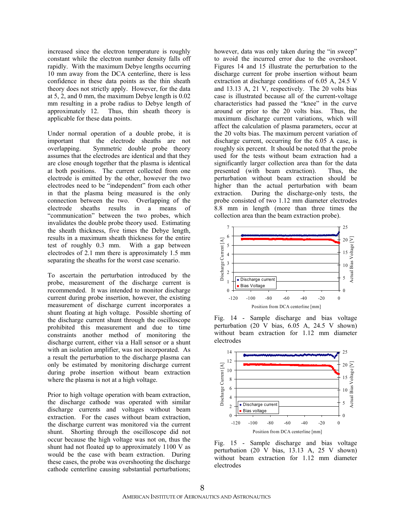increased since the electron temperature is roughly constant while the electron number density falls off rapidly. With the maximum Debye lengths occurring 10 mm away from the DCA centerline, there is less confidence in these data points as the thin sheath theory does not strictly apply. However, for the data at 5, 2, and 0 mm, the maximum Debye length is 0.02 mm resulting in a probe radius to Debye length of approximately 12. Thus, thin sheath theory is applicable for these data points.

Under normal operation of a double probe, it is important that the electrode sheaths are not overlapping. Symmetric double probe theory assumes that the electrodes are identical and that they are close enough together that the plasma is identical at both positions. The current collected from one electrode is emitted by the other, however the two electrodes need to be "independent" from each other in that the plasma being measured is the only connection between the two. Overlapping of the electrode sheaths results in a means of "communication" between the two probes, which invalidates the double probe theory used. Estimating the sheath thickness, five times the Debye length, results in a maximum sheath thickness for the entire test of roughly 0.3 mm. With a gap between electrodes of 2.1 mm there is approximately 1.5 mm separating the sheaths for the worst case scenario.

To ascertain the perturbation introduced by the probe, measurement of the discharge current is recommended. It was intended to monitor discharge current during probe insertion, however, the existing measurement of discharge current incorporates a shunt floating at high voltage. Possible shorting of the discharge current shunt through the oscilloscope prohibited this measurement and due to time constraints another method of monitoring the discharge current, either via a Hall sensor or a shunt with an isolation amplifier, was not incorporated. As a result the perturbation to the discharge plasma can only be estimated by monitoring discharge current during probe insertion without beam extraction where the plasma is not at a high voltage.

Prior to high voltage operation with beam extraction, the discharge cathode was operated with similar discharge currents and voltages without beam extraction. For the cases without beam extraction, the discharge current was monitored via the current shunt. Shorting through the oscilloscope did not occur because the high voltage was not on, thus the shunt had not floated up to approximately 1100 V as would be the case with beam extraction. During these cases, the probe was overshooting the discharge cathode centerline causing substantial perturbations;

however, data was only taken during the "in sweep" to avoid the incurred error due to the overshoot. Figures 14 and 15 illustrate the perturbation to the discharge current for probe insertion without beam extraction at discharge conditions of 6.05 A, 24.5 V and 13.13 A, 21 V, respectively. The 20 volts bias case is illustrated because all of the current-voltage characteristics had passed the "knee" in the curve around or prior to the 20 volts bias. Thus, the maximum discharge current variations, which will affect the calculation of plasma parameters, occur at the 20 volts bias. The maximum percent variation of discharge current, occurring for the 6.05 A case, is roughly six percent. It should be noted that the probe used for the tests without beam extraction had a significantly larger collection area than for the data presented (with beam extraction). Thus, the perturbation without beam extraction should be higher than the actual perturbation with beam extraction. During the discharge-only tests, the probe consisted of two 1.12 mm diameter electrodes 8.8 mm in length (more than three times the collection area than the beam extraction probe).



Fig. 14 - Sample discharge and bias voltage perturbation (20 V bias, 6.05 A, 24.5 V shown) without beam extraction for 1.12 mm diameter electrodes



Fig. 15 - Sample discharge and bias voltage perturbation (20 V bias, 13.13 A, 25 V shown) without beam extraction for 1.12 mm diameter electrodes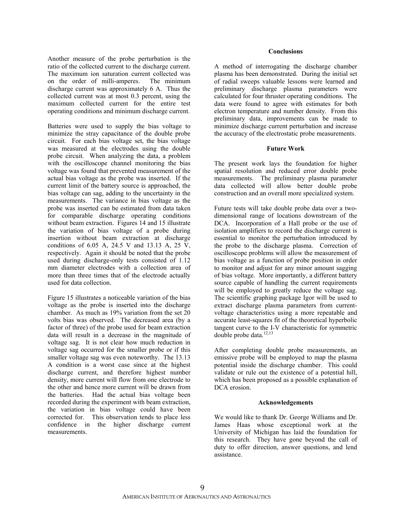Another measure of the probe perturbation is the ratio of the collected current to the discharge current. The maximum ion saturation current collected was on the order of milli-amperes. The minimum discharge current was approximately 6 A. Thus the collected current was at most 0.3 percent, using the maximum collected current for the entire test operating conditions and minimum discharge current.

Batteries were used to supply the bias voltage to minimize the stray capacitance of the double probe circuit. For each bias voltage set, the bias voltage was measured at the electrodes using the double probe circuit. When analyzing the data, a problem with the oscilloscope channel monitoring the bias voltage was found that prevented measurement of the actual bias voltage as the probe was inserted. If the current limit of the battery source is approached, the bias voltage can sag, adding to the uncertainty in the measurements. The variance in bias voltage as the probe was inserted can be estimated from data taken for comparable discharge operating conditions without beam extraction. Figures 14 and 15 illustrate the variation of bias voltage of a probe during insertion without beam extraction at discharge conditions of 6.05 A, 24.5 V and 13.13 A, 25 V, respectively. Again it should be noted that the probe used during discharge-only tests consisted of 1.12 mm diameter electrodes with a collection area of more than three times that of the electrode actually used for data collection.

Figure 15 illustrates a noticeable variation of the bias voltage as the probe is inserted into the discharge chamber. As much as 19% variation from the set 20 volts bias was observed. The decreased area (by a factor of three) of the probe used for beam extraction data will result in a decrease in the magnitude of voltage sag. It is not clear how much reduction in voltage sag occurred for the smaller probe or if this smaller voltage sag was even noteworthy. The 13.13 A condition is a worst case since at the highest discharge current, and therefore highest number density, more current will flow from one electrode to the other and hence more current will be drawn from the batteries. Had the actual bias voltage been recorded during the experiment with beam extraction, the variation in bias voltage could have been corrected for. This observation tends to place less confidence in the higher discharge current measurements.

#### **Conclusions**

A method of interrogating the discharge chamber plasma has been demonstrated. During the initial set of radial sweeps valuable lessons were learned and preliminary discharge plasma parameters were calculated for four thruster operating conditions. The data were found to agree with estimates for both electron temperature and number density. From this preliminary data, improvements can be made to minimize discharge current perturbation and increase the accuracy of the electrostatic probe measurements.

#### **Future Work**

The present work lays the foundation for higher spatial resolution and reduced error double probe measurements. The preliminary plasma parameter data collected will allow better double probe construction and an overall more specialized system.

Future tests will take double probe data over a twodimensional range of locations downstream of the DCA. Incorporation of a Hall probe or the use of isolation amplifiers to record the discharge current is essential to monitor the perturbation introduced by the probe to the discharge plasma. Correction of oscilloscope problems will allow the measurement of bias voltage as a function of probe position in order to monitor and adjust for any minor amount sagging of bias voltage. More importantly, a different battery source capable of handling the current requirements will be employed to greatly reduce the voltage sag. The scientific graphing package Igor will be used to extract discharge plasma parameters from currentvoltage characteristics using a more repeatable and accurate least-squares fit of the theoretical hyperbolic tangent curve to the I-V characteristic for symmetric double probe data.<sup>12,13</sup>

After completing double probe measurements, an emissive probe will be employed to map the plasma potential inside the discharge chamber. This could validate or rule out the existence of a potential hill, which has been proposed as a possible explanation of DCA erosion.

#### **Acknowledgements**

We would like to thank Dr. George Williams and Dr. James Haas whose exceptional work at the University of Michigan has laid the foundation for this research. They have gone beyond the call of duty to offer direction, answer questions, and lend assistance.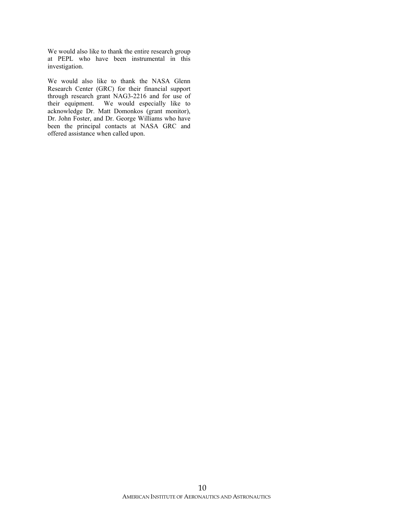We would also like to thank the entire research group at PEPL who have been instrumental in this investigation.

We would also like to thank the NASA Glenn Research Center (GRC) for their financial support through research grant NAG3-2216 and for use of their equipment. We would especially like to acknowledge Dr. Matt Domonkos (grant monitor), Dr. John Foster, and Dr. George Williams who have been the principal contacts at NASA GRC and offered assistance when called upon.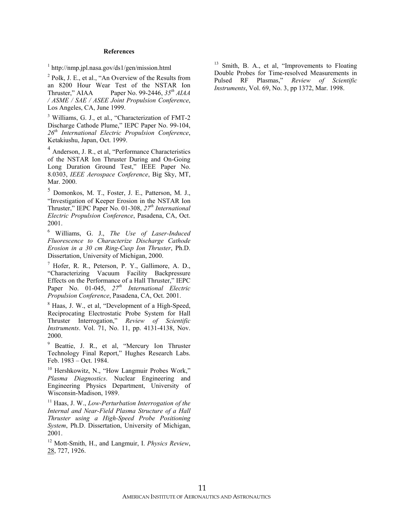#### **References**

1 http://nmp.jpl.nasa.gov/ds1/gen/mission.html

<sup>2</sup> Polk, J. E., et al., "An Overview of the Results from an 8200 Hour Wear Test of the NSTAR Ion Thruster," AIAA Paper No. 99-2446, *35th AIAA / ASME / SAE / ASEE Joint Propulsion Conference*, Los Angeles, CA, June 1999.

<sup>3</sup> Williams, G. J., et al., "Characterization of FMT-2 Discharge Cathode Plume," IEPC Paper No. 99-104, *26th International Electric Propulsion Conference*, Ketakiushu, Japan, Oct. 1999.

<sup>4</sup> Anderson, J. R., et al, "Performance Characteristics of the NSTAR Ion Thruster During and On-Going Long Duration Ground Test," IEEE Paper No. 8.0303, *IEEE Aerospace Conference*, Big Sky, MT, Mar. 2000.

<sup>5</sup> Domonkos, M. T., Foster, J. E., Patterson, M. J., "Investigation of Keeper Erosion in the NSTAR Ion Thruster," IEPC Paper No. 01-308, *27th International Electric Propulsion Conference*, Pasadena, CA, Oct. 2001.

6 Williams, G. J., *The Use of Laser-Induced Fluorescence to Characterize Discharge Cathode Erosion in a 30 cm Ring-Cusp Ion Thruster*, Ph.D. Dissertation, University of Michigan, 2000.

7 Hofer, R. R., Peterson, P. Y., Gallimore, A. D., "Characterizing Vacuum Facility Backpressure Effects on the Performance of a Hall Thruster," IEPC Paper No. 01-045, *27th International Electric Propulsion Conference*, Pasadena, CA, Oct. 2001.

8 Haas, J. W., et al, "Development of a High-Speed, Reciprocating Electrostatic Probe System for Hall Thruster Interrogation," *Review of Scientific Instruments*. Vol. 71, No. 11, pp. 4131-4138, Nov. 2000.

<sup>9</sup> Beattie, J. R., et al, "Mercury Ion Thruster Technology Final Report," Hughes Research Labs. Feb. 1983 – Oct. 1984.

<sup>10</sup> Hershkowitz, N., "How Langmuir Probes Work," *Plasma Diagnostics*. Nuclear Engineering and Engineering Physics Department, University of Wisconsin-Madison, 1989.

11 Haas, J. W., *Low-Perturbation Interrogation of the Internal and Near-Field Plasma Structure of a Hall Thruster using a High-Speed Probe Positioning System*, Ph.D. Dissertation, University of Michigan, 2001.

12 Mott-Smith, H., and Langmuir, I. *Physics Review*, 28, 727, 1926.

<sup>13</sup> Smith, B. A., et al, "Improvements to Floating Double Probes for Time-resolved Measurements in Pulsed RF Plasmas," *Review of Scientific Instruments*, Vol. 69, No. 3, pp 1372, Mar. 1998.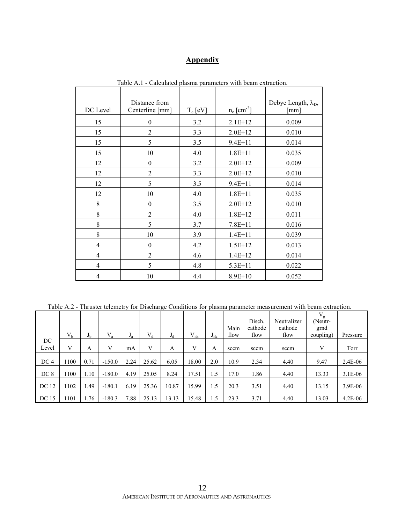### **Appendix**

| DC Level       | Distance from<br>Centerline [mm] | $T_e$ [eV] | $n_e$ [cm <sup>-3</sup> ] | Debye Length, $\lambda_{D}$ ,<br>[mm] |
|----------------|----------------------------------|------------|---------------------------|---------------------------------------|
| 15             | $\boldsymbol{0}$                 | 3.2        | $2.1E+12$                 | 0.009                                 |
| 15             | $\overline{2}$                   | 3.3        | $2.0E+12$                 | 0.010                                 |
| 15             | 5                                | 3.5        | $9.4E + 11$               | 0.014                                 |
| 15             | 10                               | 4.0        | $1.8E + 11$               | 0.035                                 |
| 12             | $\boldsymbol{0}$                 | 3.2        | $2.0E+12$                 | 0.009                                 |
| 12             | $\overline{2}$                   | 3.3        | $2.0E+12$                 | 0.010                                 |
| 12             | 5                                | 3.5        | $9.4E + 11$               | 0.014                                 |
| 12             | 10                               | 4.0        | $1.8E + 11$               | 0.035                                 |
| 8              | $\boldsymbol{0}$                 | 3.5        | $2.0E+12$                 | 0.010                                 |
| 8              | $\overline{2}$                   | 4.0        | $1.8E + 12$               | 0.011                                 |
| 8              | 5                                | 3.7        | $7.8E + 11$               | 0.016                                 |
| 8              | 10                               | 3.9        | $1.4E + 11$               | 0.039                                 |
| 4              | $\boldsymbol{0}$                 | 4.2        | $1.5E + 12$               | 0.013                                 |
| $\overline{4}$ | $\overline{2}$                   | 4.6        | $1.4E + 12$               | 0.014                                 |
| $\overline{4}$ | 5                                | 4.8        | $5.3E + 11$               | 0.022                                 |
| $\overline{4}$ | 10                               | 4.4        | 8.9E+10                   | 0.052                                 |

Table A.1 - Calculated plasma parameters with beam extraction.

Table A.2 - Thruster telemetry for Discharge Conditions for plasma parameter measurement with beam extraction.

|                 | V <sub>b</sub> | J <sub>b</sub> | $V_a$    | $J_a$ | $V_d$ | $J_d$ | $V_{nk}$ | $J_{nk}$ | Main<br>flow | Disch.<br>cathode<br>flow | Neutralizer<br>cathode<br>flow | $V_g$<br>(Neutr-<br>grnd<br>coupling) | Pressure    |
|-----------------|----------------|----------------|----------|-------|-------|-------|----------|----------|--------------|---------------------------|--------------------------------|---------------------------------------|-------------|
| DC              |                |                |          |       |       |       |          |          |              |                           |                                |                                       |             |
| Level           | V              | Α              | V        | mA    | V     | A     | V        | A        | sccm         | sccm                      | sccm                           | V                                     | Torr        |
|                 |                |                |          |       |       |       |          |          |              |                           |                                |                                       |             |
| DC <sub>4</sub> | 1100           | 0.71           | $-150.0$ | 2.24  | 25.62 | 6.05  | 18.00    | 2.0      | 10.9         | 2.34                      | 4.40                           | 9.47                                  | 2.4E-06     |
| DC 8            | 100            | 1.10           | $-180.0$ | 4.19  | 25.05 | 8.24  | 17.51    | 1.5      | 17.0         | 1.86                      | 4.40                           | 13.33                                 | $3.1E-06$   |
| DC 12           | 1102           | 1.49           | $-180.1$ | 6.19  | 25.36 | 10.87 | 15.99    | 1.5      | 20.3         | 3.51                      | 4.40                           | 13.15                                 | 3.9E-06     |
| DC 15           | 1101           | 1.76           | $-180.3$ | 7.88  | 25.13 | 13.13 | 15.48    | 1.5      | 23.3         | 3.71                      | 4.40                           | 13.03                                 | $4.2E - 06$ |